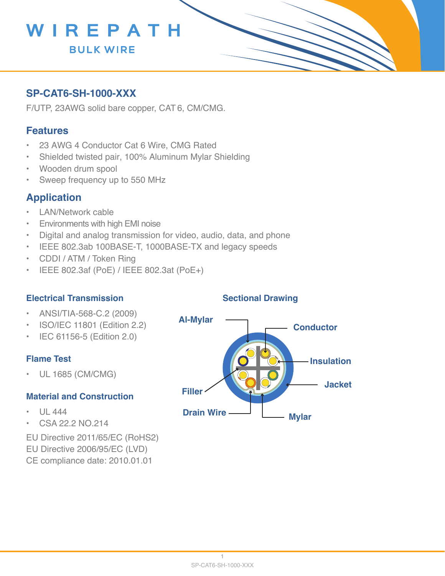

## **SP-CAT6-SH-1000-XXX**

F/UTP, 23AWG solid bare copper, CAT 6, CM/CMG.

### **Features**

- 23 AWG 4 Conductor Cat 6 Wire, CMG Rated
- Shielded twisted pair, 100% Aluminum Mylar Shielding
- Wooden drum spool
- Sweep frequency up to 550 MHz

## **Application**

- LAN/Network cable
- Environments with high EMI noise
- Digital and analog transmission for video, audio, data, and phone
- IEEE 802.3ab 100BASE-T, 1000BASE-TX and legacy speeds
- CDDI / ATM / Token Ring
- IEEE 802.3af (PoE) / IEEE 802.3at (PoE+)

#### **Electrical Transmission**

- ANSI/TIA-568-C.2 (2009)
- ISO/IEC 11801 (Edition 2.2)
- IEC 61156-5 (Edition 2.0)

#### **Flame Test**

• UL 1685 (CM/CMG)

#### **Material and Construction**

- $\cdot$  UL 444
- CSA 22.2 NO.214
- EU Directive 2011/65/EC (RoHS2)
- EU Directive 2006/95/EC (LVD)
- CE compliance date: 2010.01.01

#### **Sectional Drawing**

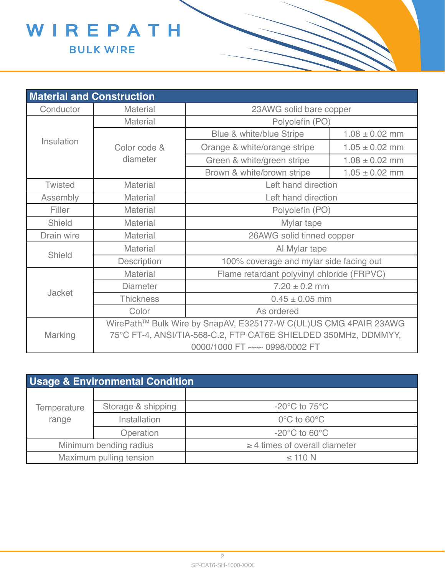

|                | <b>Material and Construction</b>                                 |                                            |                    |  |  |  |
|----------------|------------------------------------------------------------------|--------------------------------------------|--------------------|--|--|--|
| Conductor      | <b>Material</b>                                                  | 23AWG solid bare copper                    |                    |  |  |  |
|                | <b>Material</b>                                                  | Polyolefin (PO)                            |                    |  |  |  |
|                |                                                                  | Blue & white/blue Stripe                   | $1.08 \pm 0.02$ mm |  |  |  |
| Insulation     | Color code &                                                     | Orange & white/orange stripe               | $1.05 \pm 0.02$ mm |  |  |  |
|                | diameter                                                         | Green & white/green stripe                 | $1.08 \pm 0.02$ mm |  |  |  |
|                |                                                                  | Brown & white/brown stripe                 | $1.05 \pm 0.02$ mm |  |  |  |
| <b>Twisted</b> | <b>Material</b>                                                  | Left hand direction                        |                    |  |  |  |
| Assembly       | <b>Material</b>                                                  | Left hand direction                        |                    |  |  |  |
| Filler         | <b>Material</b>                                                  | Polyolefin (PO)                            |                    |  |  |  |
| Shield         | <b>Material</b>                                                  | Mylar tape                                 |                    |  |  |  |
| Drain wire     | Material                                                         | 26AWG solid tinned copper                  |                    |  |  |  |
|                | <b>Material</b>                                                  | Al Mylar tape                              |                    |  |  |  |
| Shield         | <b>Description</b>                                               | 100% coverage and mylar side facing out    |                    |  |  |  |
|                | <b>Material</b>                                                  | Flame retardant polyvinyl chloride (FRPVC) |                    |  |  |  |
| Jacket         | <b>Diameter</b>                                                  | $7.20 \pm 0.2$ mm                          |                    |  |  |  |
|                | <b>Thickness</b>                                                 | $0.45 \pm 0.05$ mm                         |                    |  |  |  |
|                | Color                                                            | As ordered                                 |                    |  |  |  |
|                | WirePath™ Bulk Wire by SnapAV, E325177-W C(UL)US CMG 4PAIR 23AWG |                                            |                    |  |  |  |
| Marking        | 75°C FT-4, ANSI/TIA-568-C.2, FTP CAT6E SHIELDED 350MHz, DDMMYY,  |                                            |                    |  |  |  |
|                | 0000/1000 FT ~~~ 0998/0002 FT                                    |                                            |                    |  |  |  |

| <b>Usage &amp; Environmental Condition</b> |                    |                                    |  |  |  |  |
|--------------------------------------------|--------------------|------------------------------------|--|--|--|--|
|                                            |                    |                                    |  |  |  |  |
| Temperature                                | Storage & shipping | $-20^{\circ}$ C to 75 $^{\circ}$ C |  |  |  |  |
| range                                      | Installation       | $0^{\circ}$ C to 60 $^{\circ}$ C   |  |  |  |  |
|                                            | Operation          | $-20^{\circ}$ C to 60 $^{\circ}$ C |  |  |  |  |
| Minimum bending radius                     |                    | $\geq$ 4 times of overall diameter |  |  |  |  |
| Maximum pulling tension                    |                    | $\leq$ 110 N                       |  |  |  |  |